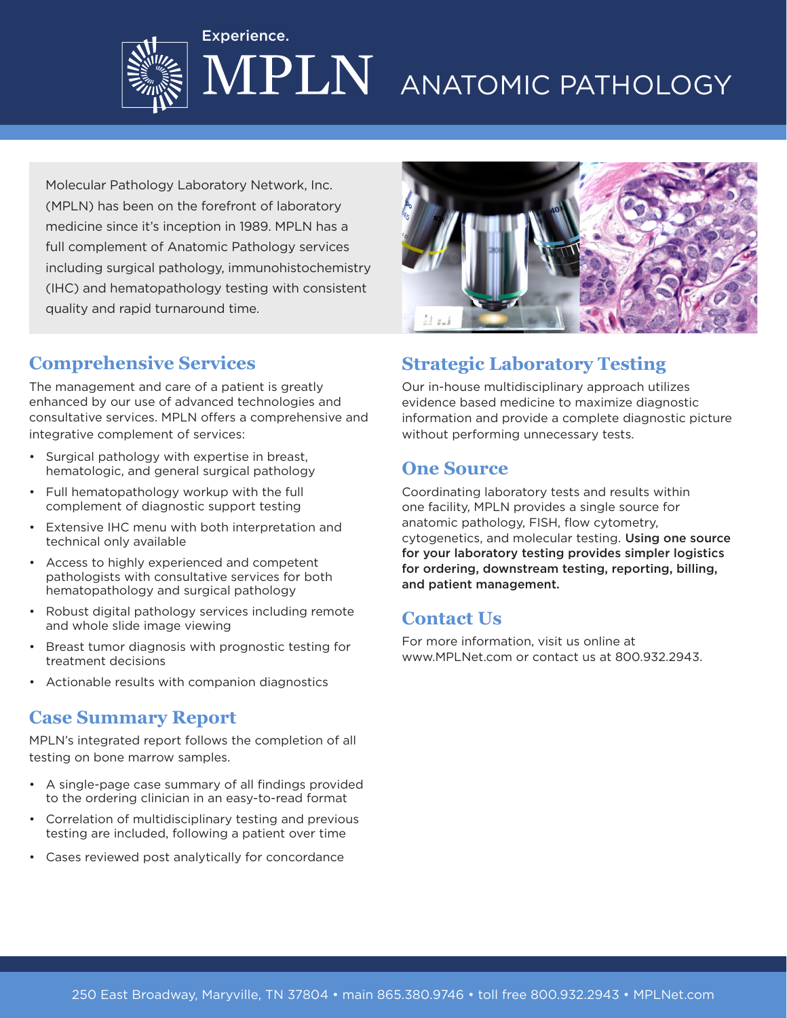

# PLN ANATOMIC PATHOLOGY

Molecular Pathology Laboratory Network, Inc. (MPLN) has been on the forefront of laboratory medicine since it's inception in 1989. MPLN has a full complement of Anatomic Pathology services including surgical pathology, immunohistochemistry (IHC) and hematopathology testing with consistent quality and rapid turnaround time.

Experience.

## **Comprehensive Services**

The management and care of a patient is greatly enhanced by our use of advanced technologies and consultative services. MPLN offers a comprehensive and integrative complement of services:

- Surgical pathology with expertise in breast, hematologic, and general surgical pathology
- Full hematopathology workup with the full complement of diagnostic support testing
- Extensive IHC menu with both interpretation and technical only available
- Access to highly experienced and competent pathologists with consultative services for both hematopathology and surgical pathology
- Robust digital pathology services including remote and whole slide image viewing
- Breast tumor diagnosis with prognostic testing for treatment decisions
- Actionable results with companion diagnostics

#### **Case Summary Report**

MPLN's integrated report follows the completion of all testing on bone marrow samples.

- A single-page case summary of all findings provided to the ordering clinician in an easy-to-read format
- Correlation of multidisciplinary testing and previous testing are included, following a patient over time
- Cases reviewed post analytically for concordance



# **Strategic Laboratory Testing**

Our in-house multidisciplinary approach utilizes evidence based medicine to maximize diagnostic information and provide a complete diagnostic picture without performing unnecessary tests.

#### **One Source**

Coordinating laboratory tests and results within one facility, MPLN provides a single source for anatomic pathology, FISH, flow cytometry, cytogenetics, and molecular testing. Using one source for your laboratory testing provides simpler logistics for ordering, downstream testing, reporting, billing, and patient management.

### **Contact Us**

For more information, visit us online at www.MPLNet.com or contact us at 800.932.2943.